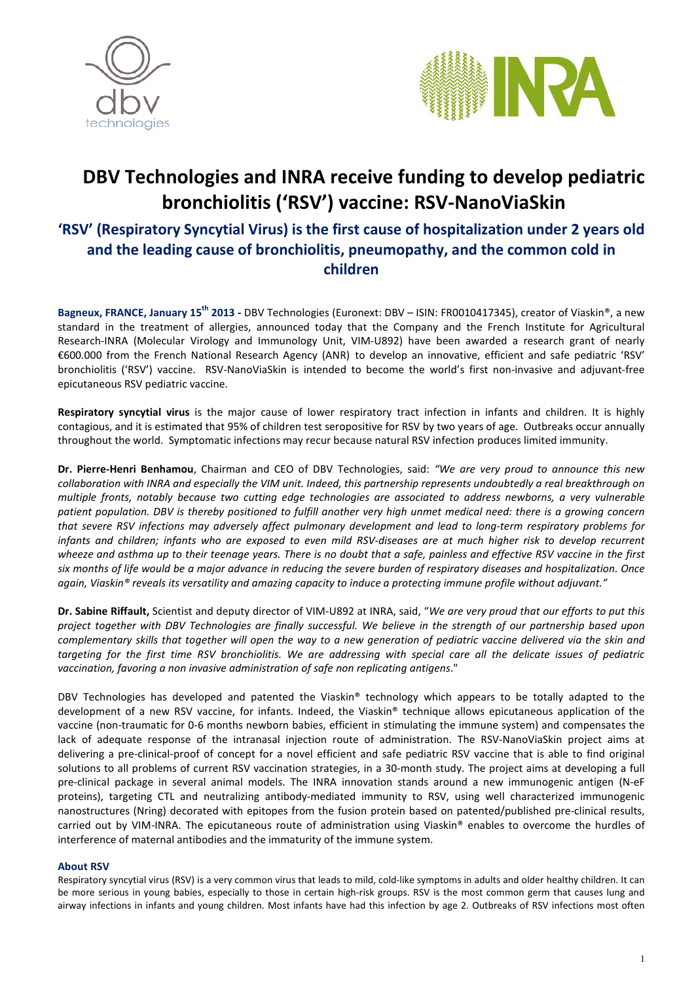



# **DBV Technologies and INRA receive funding to develop pediatric bronchiolitis ('RSV') vaccine: RSV-NanoViaSkin**

# **'RSV' (Respiratory Syncytial Virus) is the first cause of hospitalization under 2 years old and the leading cause of bronchiolitis, pneumopathy, and the common cold in children**

**Bagneux, FRANCE, January 15th 2013 -** DBV Technologies (Euronext: DBV – ISIN: FR0010417345), creator of Viaskin®, a new standard in the treatment of allergies, announced today that the Company and the French Institute for Agricultural Research-INRA (Molecular Virology and Immunology Unit, VIM-U892) have been awarded a research grant of nearly €600.000 from the French National Research Agency (ANR) to develop an innovative, efficient and safe pediatric 'RSV' bronchiolitis ('RSV') vaccine. RSV-NanoViaSkin is intended to become the world's first non-invasive and adjuvant-free epicutaneous RSV pediatric vaccine.

**Respiratory syncytial virus** is the major cause of lower respiratory tract infection in infants and children. It is highly contagious, and it is estimated that 95% of children test seropositive for RSV by two years of age. Outbreaks occur annually throughout the world. Symptomatic infections may recur because natural RSV infection produces limited immunity.

**Dr. Pierre-Henri Benhamou**, Chairman and CEO of DBV Technologies, said: *"We are very proud to announce this new collaboration with INRA and especially the VIM unit. Indeed, this partnership represents undoubtedly a real breakthrough on multiple fronts, notably because two cutting edge technologies are associated to address newborns, a very vulnerable patient population. DBV is thereby positioned to fulfill another very high unmet medical need: there is a growing concern that severe RSV infections may adversely affect pulmonary development and lead to long-term respiratory problems for*  infants and children; infants who are exposed to even mild RSV-diseases are at much higher risk to develop recurrent *wheeze and asthma up to their teenage years. There is no doubt that a safe, painless and effective RSV vaccine in the first six months of life would be a major advance in reducing the severe burden of respiratory diseases and hospitalization. Once again, Viaskin® reveals its versatility and amazing capacity to induce a protecting immune profile without adjuvant."* 

**Dr. Sabine Riffault,** Scientist and deputy director of VIM-U892 at INRA, said, "*We are very proud that our efforts to put this project together with DBV Technologies are finally successful. We believe in the strength of our partnership based upon complementary skills that together will open the way to a new generation of pediatric vaccine delivered via the skin and targeting for the first time RSV bronchiolitis. We are addressing with special care all the delicate issues of pediatric vaccination, favoring a non invasive administration of safe non replicating antigens*."

DBV Technologies has developed and patented the Viaskin® technology which appears to be totally adapted to the development of a new RSV vaccine, for infants. Indeed, the Viaskin® technique allows epicutaneous application of the vaccine (non-traumatic for 0-6 months newborn babies, efficient in stimulating the immune system) and compensates the lack of adequate response of the intranasal injection route of administration. The RSV-NanoViaSkin project aims at delivering a pre-clinical-proof of concept for a novel efficient and safe pediatric RSV vaccine that is able to find original solutions to all problems of current RSV vaccination strategies, in a 30-month study. The project aims at developing a full pre-clinical package in several animal models. The INRA innovation stands around a new immunogenic antigen (N-eF proteins), targeting CTL and neutralizing antibody-mediated immunity to RSV, using well characterized immunogenic nanostructures (Nring) decorated with epitopes from the fusion protein based on patented/published pre-clinical results, carried out by VIM-INRA. The epicutaneous route of administration using Viaskin® enables to overcome the hurdles of interference of maternal antibodies and the immaturity of the immune system.

#### **About RSV**

Respiratory syncytial virus (RSV) is a very common virus that leads to mild, cold-like symptoms in adults and older healthy children. It can be more serious in young babies, especially to those in certain high-risk groups. RSV is the most common germ that causes lung and airway infections in infants and young children. Most infants have had this infection by age 2. Outbreaks of RSV infections most often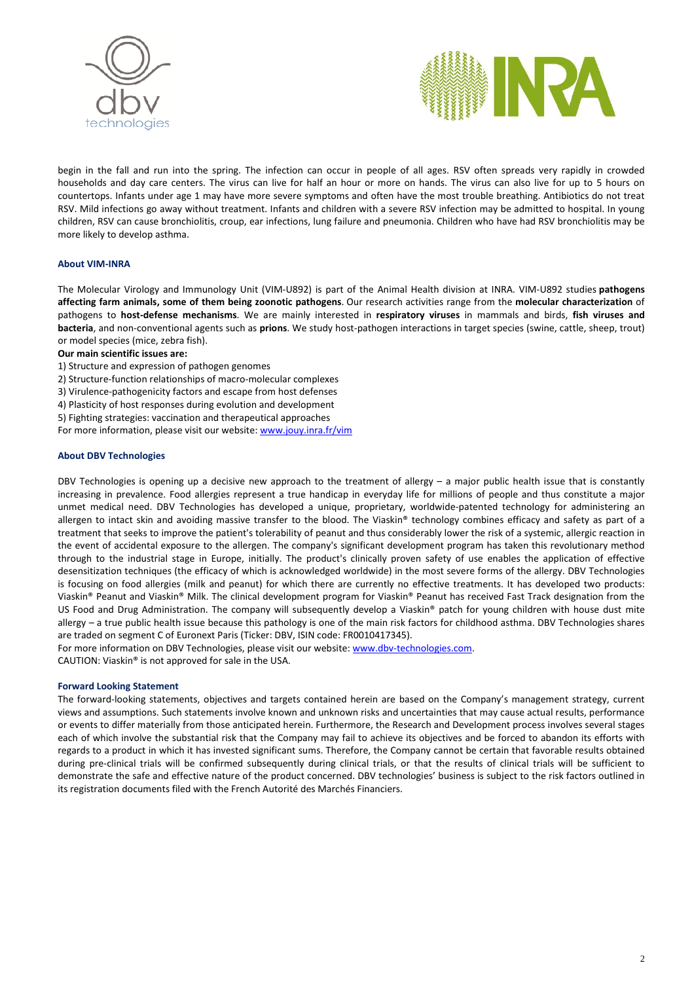



begin in the fall and run into the spring. The infection can occur in people of all ages. RSV often spreads very rapidly in crowded households and day care centers. The virus can live for half an hour or more on hands. The virus can also live for up to 5 hours on countertops. Infants under age 1 may have more severe symptoms and often have the most trouble breathing. Antibiotics do not treat RSV. Mild infections go away without treatment. Infants and children with a severe RSV infection may be admitted to hospital. In young children, RSV can cause bronchiolitis, croup, ear infections, lung failure and pneumonia. Children who have had RSV bronchiolitis may be more likely to develop asthma.

#### **About VIM-INRA**

The Molecular Virology and Immunology Unit (VIM-U892) is part of the Animal Health division at INRA. VIM-U892 studies **pathogens affecting farm animals, some of them being zoonotic pathogens**. Our research activities range from the **molecular characterization** of pathogens to **host-defense mechanisms**. We are mainly interested in **respiratory viruses** in mammals and birds, **fish viruses and bacteria**, and non-conventional agents such as **prions**. We study host-pathogen interactions in target species (swine, cattle, sheep, trout) or model species (mice, zebra fish).

#### **Our main scientific issues are:**

- 1) Structure and expression of pathogen genomes
- 2) Structure-function relationships of macro-molecular complexes
- 3) Virulence-pathogenicity factors and escape from host defenses
- 4) Plasticity of host responses during evolution and development
- 5) Fighting strategies: vaccination and therapeutical approaches

For more information, please visit our website: www.jouy.inra.fr/vim

#### **About DBV Technologies**

DBV Technologies is opening up a decisive new approach to the treatment of allergy – a major public health issue that is constantly increasing in prevalence. Food allergies represent a true handicap in everyday life for millions of people and thus constitute a major unmet medical need. DBV Technologies has developed a unique, proprietary, worldwide-patented technology for administering an allergen to intact skin and avoiding massive transfer to the blood. The Viaskin® technology combines efficacy and safety as part of a treatment that seeks to improve the patient's tolerability of peanut and thus considerably lower the risk of a systemic, allergic reaction in the event of accidental exposure to the allergen. The company's significant development program has taken this revolutionary method through to the industrial stage in Europe, initially. The product's clinically proven safety of use enables the application of effective desensitization techniques (the efficacy of which is acknowledged worldwide) in the most severe forms of the allergy. DBV Technologies is focusing on food allergies (milk and peanut) for which there are currently no effective treatments. It has developed two products: Viaskin® Peanut and Viaskin® Milk. The clinical development program for Viaskin® Peanut has received Fast Track designation from the US Food and Drug Administration. The company will subsequently develop a Viaskin® patch for young children with house dust mite allergy – a true public health issue because this pathology is one of the main risk factors for childhood asthma. DBV Technologies shares are traded on segment C of Euronext Paris (Ticker: DBV, ISIN code: FR0010417345).

For more information on DBV Technologies, please visit our website: www.dbv-technologies.com. CAUTION: Viaskin® is not approved for sale in the USA.

#### **Forward Looking Statement**

The forward-looking statements, objectives and targets contained herein are based on the Company's management strategy, current views and assumptions. Such statements involve known and unknown risks and uncertainties that may cause actual results, performance or events to differ materially from those anticipated herein. Furthermore, the Research and Development process involves several stages each of which involve the substantial risk that the Company may fail to achieve its objectives and be forced to abandon its efforts with regards to a product in which it has invested significant sums. Therefore, the Company cannot be certain that favorable results obtained during pre-clinical trials will be confirmed subsequently during clinical trials, or that the results of clinical trials will be sufficient to demonstrate the safe and effective nature of the product concerned. DBV technologies' business is subject to the risk factors outlined in its registration documents filed with the French Autorité des Marchés Financiers.